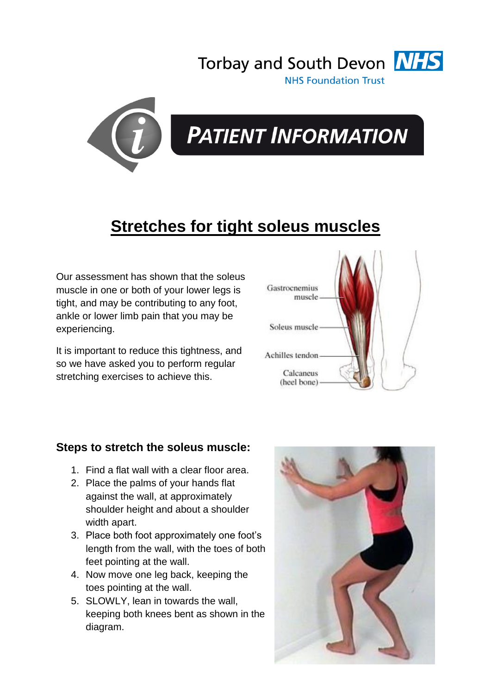



## **PATIENT INFORMATION**

## **Stretches for tight soleus muscles**

Our assessment has shown that the soleus muscle in one or both of your lower legs is tight, and may be contributing to any foot, ankle or lower limb pain that you may be experiencing.

It is important to reduce this tightness, and so we have asked you to perform regular stretching exercises to achieve this.



## **Steps to stretch the soleus muscle:**

- 1. Find a flat wall with a clear floor area.
- 2. Place the palms of your hands flat against the wall, at approximately shoulder height and about a shoulder width apart.
- 3. Place both foot approximately one foot's length from the wall, with the toes of both feet pointing at the wall.
- 4. Now move one leg back, keeping the toes pointing at the wall.
- 5. SLOWLY, lean in towards the wall, keeping both knees bent as shown in the diagram.